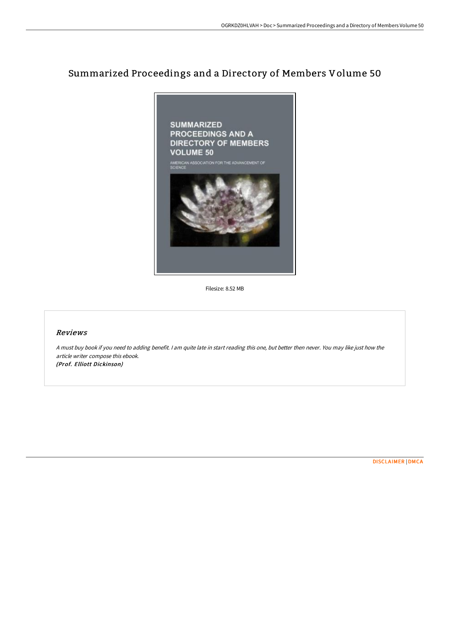# Summarized Proceedings and a Directory of Members Volume 50



Filesize: 8.52 MB

### Reviews

<sup>A</sup> must buy book if you need to adding benefit. <sup>I</sup> am quite late in start reading this one, but better then never. You may like just how the article writer compose this ebook. (Prof. Elliott Dickinson)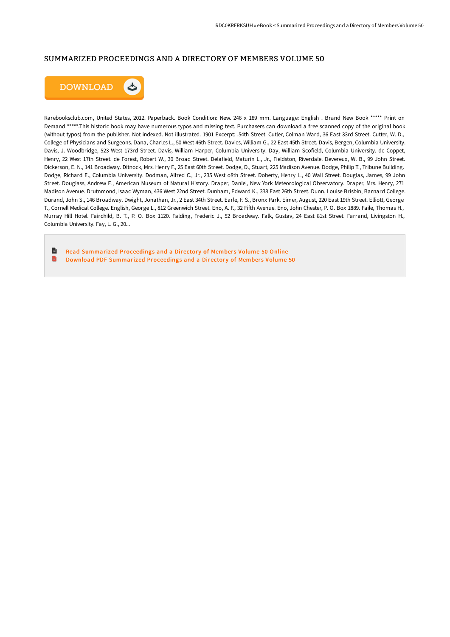## SUMMARIZED PROCEEDINGS AND A DIRECTORY OF MEMBERS VOLUME 50



Rarebooksclub.com, United States, 2012. Paperback. Book Condition: New. 246 x 189 mm. Language: English . Brand New Book \*\*\*\*\* Print on Demand \*\*\*\*\*.This historic book may have numerous typos and missing text. Purchasers can download a free scanned copy of the original book (without typos) from the publisher. Not indexed. Not illustrated. 1901 Excerpt: .54th Street. Cutler, Colman Ward, 36 East 33rd Street. Cutter, W. D., College of Physicians and Surgeons. Dana, Charles L., 50 West 46th Street. Davies, William G., 22 East 45th Street. Davis, Bergen, Columbia University. Davis, J. Woodbridge, 523 West 173rd Street. Davis, William Harper, Columbia University. Day, William Scofield, Columbia University. de Coppet, Henry, 22 West 17th Street. de Forest, Robert W., 30 Broad Street. Delafield, Maturin L., Jr., Fieldston, Riverdale. Devereux, W. B., 99 John Street. Dickerson, E. N., 141 Broadway. Ditnock, Mrs. Henry F., 25 East 60th Street. Dodge, D., Stuart, 225 Madison Avenue. Dodge, Philip T., Tribune Building. Dodge, Richard E., Columbia University. Dodman, Alfred C., Jr., 235 West o8th Street. Doherty, Henry L., 40 Wall Street. Douglas, James, 99 John Street. Douglass, Andrew E., American Museum of Natural History. Draper, Daniel, New York Meteorological Observatory. Draper, Mrs. Henry, 271 Madison Avenue. Drutnmond, Isaac Wyman, 436 West 22nd Street. Dunham, Edward K., 338 East 26th Street. Dunn, Louise Brisbin, Barnard College. Durand, John S., 146 Broadway. Dwight, Jonathan, Jr., 2 East 34th Street. Earle, F. S., Bronx Park. Eimer, August, 220 East 19th Street. Elliott, George T., Cornell Medical College. English, George L., 812 Greenwich Street. Eno, A. F., 32 FiHh Avenue. Eno, John Chester, P. O. Box 1889. Faile, Thomas H., Murray Hill Hotel. Fairchild, B. T., P. O. Box 1120. Falding, Frederic J., 52 Broadway. Falk, Gustav, 24 East 81st Street. Farrand, Livingston H., Columbia University. Fay, L. G., 20...

 $\mathbf{r}$ Read [Summarized](http://techno-pub.tech/summarized-proceedings-and-a-directory-of-member-2.html) Proceedings and a Directory of Members Volume 50 Online B Download PDF [Summarized](http://techno-pub.tech/summarized-proceedings-and-a-directory-of-member-2.html) Proceedings and a Directory of Members Volume 50